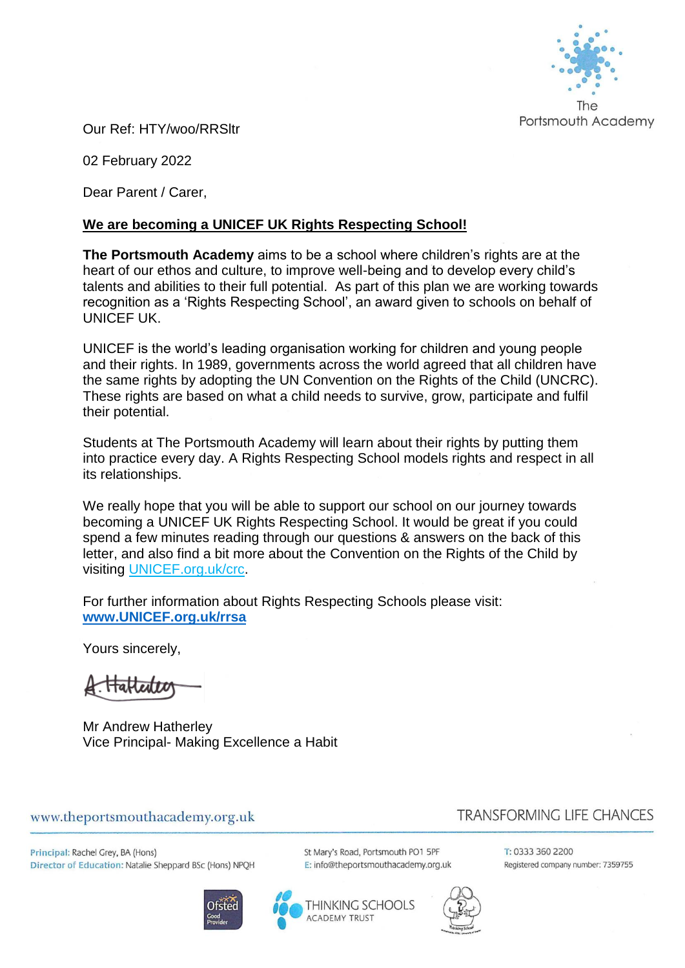

Our Ref: HTY/woo/RRSltr

02 February 2022

Dear Parent / Carer,

### **We are becoming a UNICEF UK Rights Respecting School!**

**The Portsmouth Academy** aims to be a school where children's rights are at the heart of our ethos and culture, to improve well-being and to develop every child's talents and abilities to their full potential. As part of this plan we are working towards recognition as a 'Rights Respecting School', an award given to schools on behalf of UNICEF UK.

UNICEF is the world's leading organisation working for children and young people and their rights. In 1989, governments across the world agreed that all children have the same rights by adopting the UN Convention on the Rights of the Child (UNCRC). These rights are based on what a child needs to survive, grow, participate and fulfil their potential.

Students at The Portsmouth Academy will learn about their rights by putting them into practice every day. A Rights Respecting School models rights and respect in all its relationships.

We really hope that you will be able to support our school on our journey towards becoming a UNICEF UK Rights Respecting School. It would be great if you could spend a few minutes reading through our questions & answers on the back of this letter, and also find a bit more about the Convention on the Rights of the Child by visiting [UNICEF.org.uk/crc.](http://www.unicef.org.uk/crc)

For further information about Rights Respecting Schools please visit: **[www.UNICEF.org.uk/rrsa](http://www.unicef.org.uk/rrsa)**

Yours sincerely,

Mr Andrew Hatherley Vice Principal- Making Excellence a Habit

#### www.theportsmouthacademy.org.uk

# **TRANSFORMING LIFE CHANCES**

Principal: Rachel Grey, BA (Hons) Director of Education: Natalie Sheppard BSc (Hons) NPQH





St Mary's Road, Portsmouth PO1 5PF E: info@theportsmouthacademy.org.uk



T: 0333 360 2200 Registered company number: 7359755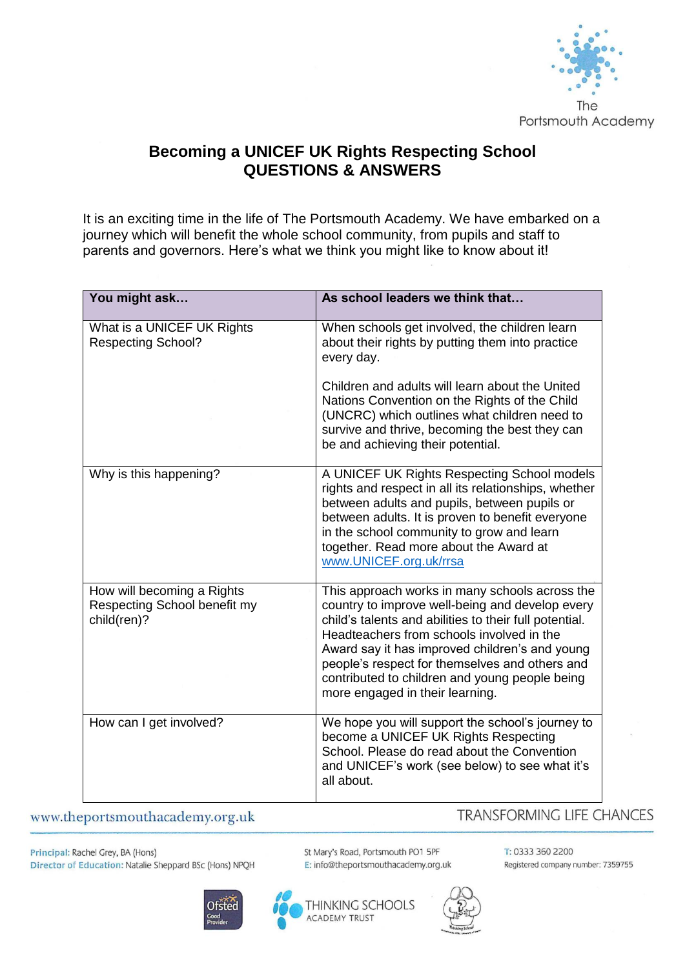

# **Becoming a UNICEF UK Rights Respecting School QUESTIONS & ANSWERS**

It is an exciting time in the life of The Portsmouth Academy. We have embarked on a journey which will benefit the whole school community, from pupils and staff to parents and governors. Here's what we think you might like to know about it!

| You might ask                                                             | As school leaders we think that                                                                                                                                                                                                                                                                                                                                                                   |
|---------------------------------------------------------------------------|---------------------------------------------------------------------------------------------------------------------------------------------------------------------------------------------------------------------------------------------------------------------------------------------------------------------------------------------------------------------------------------------------|
| What is a UNICEF UK Rights<br><b>Respecting School?</b>                   | When schools get involved, the children learn<br>about their rights by putting them into practice<br>every day.                                                                                                                                                                                                                                                                                   |
|                                                                           | Children and adults will learn about the United<br>Nations Convention on the Rights of the Child<br>(UNCRC) which outlines what children need to<br>survive and thrive, becoming the best they can<br>be and achieving their potential.                                                                                                                                                           |
| Why is this happening?                                                    | A UNICEF UK Rights Respecting School models<br>rights and respect in all its relationships, whether<br>between adults and pupils, between pupils or<br>between adults. It is proven to benefit everyone<br>in the school community to grow and learn<br>together. Read more about the Award at<br>www.UNICEF.org.uk/rrsa                                                                          |
| How will becoming a Rights<br>Respecting School benefit my<br>child(ren)? | This approach works in many schools across the<br>country to improve well-being and develop every<br>child's talents and abilities to their full potential.<br>Headteachers from schools involved in the<br>Award say it has improved children's and young<br>people's respect for themselves and others and<br>contributed to children and young people being<br>more engaged in their learning. |
| How can I get involved?                                                   | We hope you will support the school's journey to<br>become a UNICEF UK Rights Respecting<br>School. Please do read about the Convention<br>and UNICEF's work (see below) to see what it's<br>all about.                                                                                                                                                                                           |

www.theportsmouthacademy.org.uk

## **TRANSFORMING LIFE CHANCES**

Principal: Rachel Grey, BA (Hons) Director of Education: Natalie Sheppard BSc (Hons) NPQH



St Mary's Road, Portsmouth PO1 5PF E: info@theportsmouthacademy.org.uk

THINKING SCHOOLS

**ACADEMY TRUST** 



T: 0333 360 2200 Registered company number: 7359755